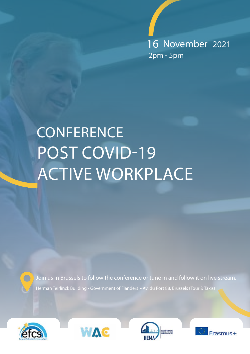16 November 2021 2pm - 5pm

# POST COVID-19 ACTIVE WORKPLACE **CONFERENCE**

Join us in Brussels to follow the conference or tune in and follow it on live stream.



 $\bigcap$ 





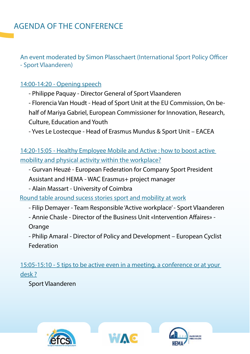An event moderated by Simon Plasschaert (International Sport Policy Officer - Sport Vlaanderen)

#### 14:00-14:20 - Opening speech

- Philippe Paquay - Director General of Sport Vlaanderen

- Florencia Van Houdt - Head of Sport Unit at the EU Commission, On behalf of Mariya Gabriel, European Commissioner for Innovation, Research, Culture, Education and Youth

- Yves Le Lostecque - Head of Erasmus Mundus & Sport Unit – EACEA

14:20-15:05 - Healthy Employee Mobile and Active : how to boost active mobility and physical activity within the workplace?

- Gurvan Heuzé - European Federation for Company Sport President Assistant and HEMA - WAC Erasmus+ project manager

- Alain Massart - University of Coimbra

Round table around sucess stories sport and mobility at work

- Filip Demayer - Team Responsible 'Active workplace' - Sport Vlaanderen

- Annie Chasle - Director of the Business Unit «Intervention Affaires» -

Orange

- Philip Amaral - Director of Policy and Development – European Cyclist Federation

15:05-15:10 - 5 tips to be active even in a meeting, a conference or at your desk ?

Sport Vlaanderen





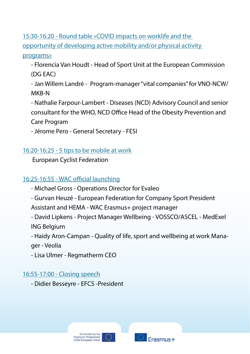15:30-16:20 - Round table «COVID impacts on worklife and the opportunity of developing active mobility and/or physical activity

#### programs»

- Florencia Van Houdt - Head of Sport Unit at the European Commission (DG EAC)

- Jan Willem Landré - Program-manager "vital companies" for VNO-NCW/ MKB-N

- Nathalie Farpour-Lambert - Diseases (NCD) Advisory Council and senior consultant for the WHO, NCD Office Head of the Obesity Prevention and Care Program

- Jérome Pero - General Secretary - FESI

16:20-16:25 - 5 tips to be mobile at work

European Cyclist Federation

### 16:25-16:55 - WAC official launching

- Michael Gross Operations Director for Evaleo
- Gurvan Heuzé European Federation for Company Sport President
- Assistant and HEMA WAC Erasmus+ project manager
- David Lipkens Project Manager Wellbeing VOSSCO/ASCEL MedExel ING Belgium

- Haidy Aron-Campan - Quality of life, sport and wellbeing at work Manager - Veolia

- Lisa Ulmer - Regmatherm CEO

#### 16:55-17:00 - Closing speech

- Didier Besseyre - EFCS -President



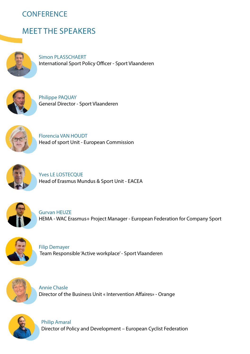## **CONFERENCE**

# MEET THE SPEAKERS



Simon PLASSCHAERT International Sport Policy Officer - Sport Vlaanderen



Philippe PAQUAY General Director - Sport Vlaanderen



Florencia VAN HOUDT Head of sport Unit - European Commission



Yves LE LOSTECOUE Head of Erasmus Mundus & Sport Unit - EACEA



Gurvan HEUZE HEMA - WAC Erasmus+ Project Manager - European Federation for Company Sport



Filip Demayer Team Responsible 'Active workplace' - Sport Vlaanderen



Annie Chasle Director of the Business Unit « Intervention Affaires» - Orange



Philip Amaral Director of Policy and Development – European Cyclist Federation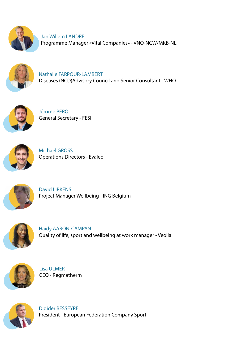

Jan Willem LANDRE Programme Manager «Vital Companies» - VNO-NCW/MKB-NL



Nathalie FARPOUR-LAMBERT Diseases (NCD)Advisory Council and Senior Consultant - WHO



Jérome PERO General Secretary - FESI



Michael GROSS Operations Directors - Evaleo



David LIPKENS Project Manager Wellbeing - ING Belgium



Haidy AARON-CAMPAN Quality of life, sport and wellbeing at work manager - Veolia



Lisa ULMER CEO - Regmatherm



Didider BESSEYRE President - European Federation Company Sport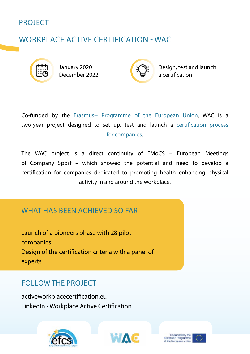

# WORKPLACE ACTIVE CERTIFICATION - WAC



January 2020 December 2022



Design, test and launch a certification

Co-funded by the Erasmus+ Programme of the European Union, WAC is a two-year project designed to set up, test and launch a certification process for companies.

The WAC project is a direct continuity of EMoCS – European Meetings of Company Sport – which showed the potential and need to develop a certification for companies dedicated to promoting health enhancing physical activity in and around the workplace.

#### WHAT HAS BEEN ACHIEVED SO FAR

Launch of a pioneers phase with 28 pilot companies Design of the certification criteria with a panel of experts

### FOLLOW THE PROJECT

activeworkplacecertification.eu LinkedIn - Workplace Active Certification





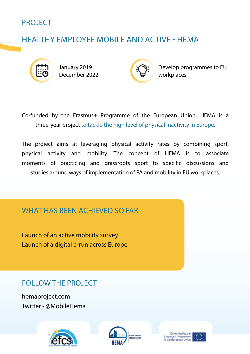

# HEALTHY EMPLOYEE MOBILE AND ACTIVE - HEMA



January 2019 December 2022



Develop programmes to EU workplaces

Co-funded by the Erasmus+ Programme of the European Union, HEMA is a three-year project to tackle the high level of physical inactivity in Europe.

The project aims at leveraging physical activity rates by combining sport, physical activity and mobility. The concept of HEMA is to associate moments of practicing and grassroots sport to specific discussions and studies around ways of implementation of PA and mobility in EU workplaces.

### WHAT HAS BEEN ACHIEVED SO FAR

Launch of an active mobility survey Launch of a digital e-run across Europe

FOLLOW THE PROJECT

hemaproject.com Twitter - @MobileHema





Co-funded by the Eraemus+ Programme<br>of the European Union